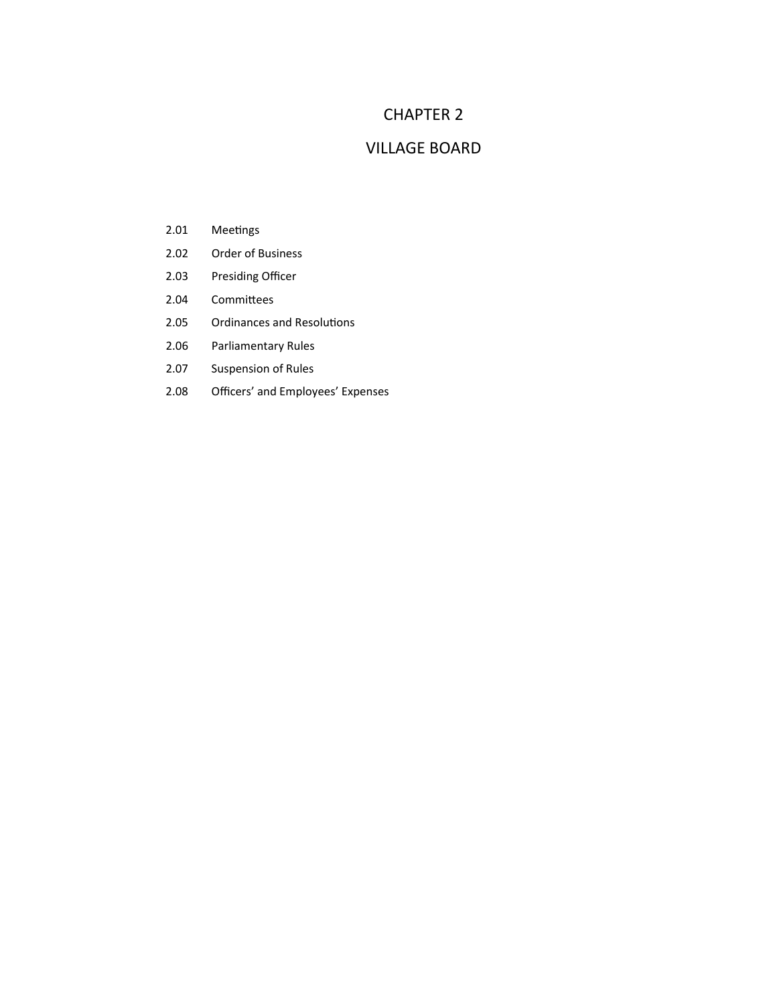## CHAPTER 2

## VILLAGE BOARD

- 2.01 Meetings
- 2.02 Order of Business
- 2.03 Presiding Officer
- 2.04 Committees
- 2.05 Ordinances and Resolutions
- 2.06 Parliamentary Rules
- 2.07 Suspension of Rules
- 2.08 Officers' and Employees' Expenses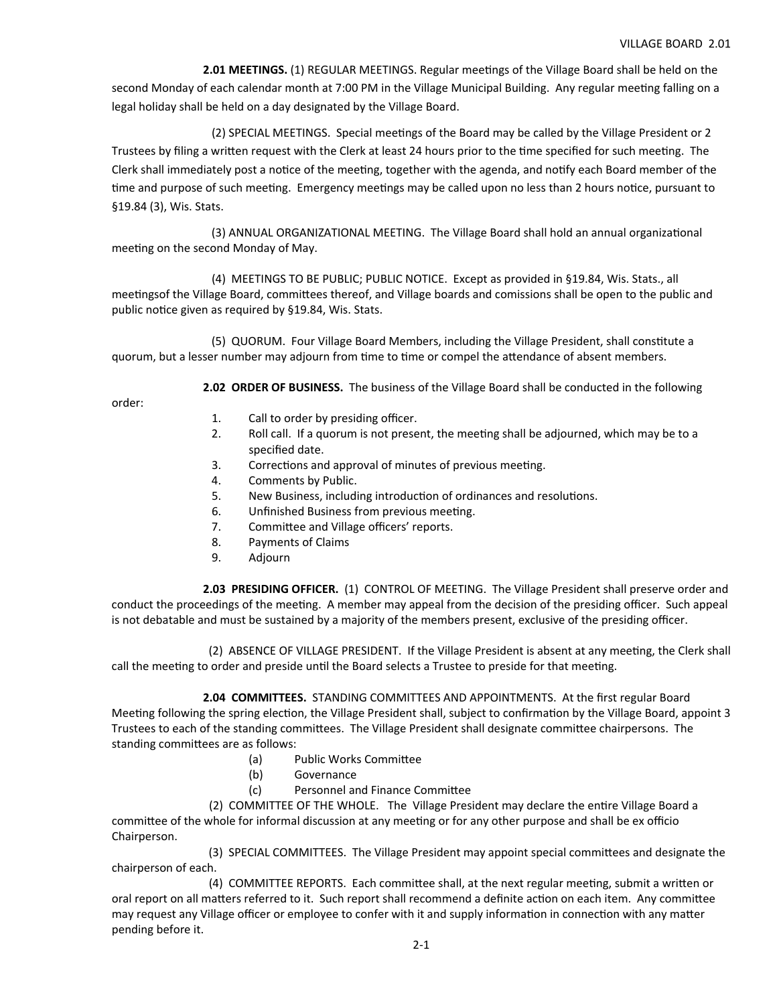**2.01 MEETINGS.** (1) REGULAR MEETINGS. Regular meetings of the Village Board shall be held on the second Monday of each calendar month at 7:00 PM in the Village Municipal Building. Any regular meeting falling on a legal holiday shall be held on a day designated by the Village Board.

(2) SPECIAL MEETINGS. Special meetings of the Board may be called by the Village President or 2 Trustees by filing a written request with the Clerk at least 24 hours prior to the time specified for such meeting. The Clerk shall immediately post a notice of the meeting, together with the agenda, and notify each Board member of the time and purpose of such meeting. Emergency meetings may be called upon no less than 2 hours notice, pursuant to §19.84 (3), Wis. Stats.

(3) ANNUAL ORGANIZATIONAL MEETING. The Village Board shall hold an annual organizational meeting on the second Monday of May.

 (4) MEETINGS TO BE PUBLIC; PUBLIC NOTICE. Except as provided in §19.84, Wis. Stats., all meetingsof the Village Board, committees thereof, and Village boards and comissions shall be open to the public and public notice given as required by §19.84, Wis. Stats.

(5) QUORUM. Four Village Board Members, including the Village President, shall constitute a quorum, but a lesser number may adjourn from time to time or compel the attendance of absent members.

**2.02 ORDER OF BUSINESS.** The business of the Village Board shall be conducted in the following

order:

- 1. Call to order by presiding officer.<br>2. Roll call. If a quorum is not prese
- Roll call. If a quorum is not present, the meeting shall be adjourned, which may be to a specified date.
- 3. Corrections and approval of minutes of previous meeting.
- 4. Comments by Public.
- 5. New Business, including introduction of ordinances and resolutions.
- 6. Unfinished Business from previous meeting.
- 7. Committee and Village officers' reports.
- 8. Payments of Claims
- 9. Adjourn

 **2.03 PRESIDING OFFICER.** (1) CONTROL OF MEETING. The Village President shall preserve order and conduct the proceedings of the meeting. A member may appeal from the decision of the presiding officer. Such appeal is not debatable and must be sustained by a majority of the members present, exclusive of the presiding officer.

(2) ABSENCE OF VILLAGE PRESIDENT. If the Village President is absent at any meeting, the Clerk shall call the meeting to order and preside until the Board selects a Trustee to preside for that meeting.

 **2.04 COMMITTEES.**  STANDING COMMITTEES AND APPOINTMENTS. At the first regular Board Meeting following the spring election, the Village President shall, subject to confirmation by the Village Board, appoint 3 Trustees to each of the standing committees. The Village President shall designate committee chairpersons. The standing committees are as follows:

- (a) Public Works Committee
- (b) Governance
- (c) Personnel and Finance Committee

(2) COMMITTEE OF THE WHOLE. The Village President may declare the entire Village Board a committee of the whole for informal discussion at any meeting or for any other purpose and shall be ex officio Chairperson.

(3) SPECIAL COMMITTEES. The Village President may appoint special committees and designate the chairperson of each.

(4) COMMITTEE REPORTS. Each committee shall, at the next regular meeting, submit a written or oral report on all matters referred to it. Such report shall recommend a definite action on each item. Any committee may request any Village officer or employee to confer with it and supply information in connection with any matter pending before it.